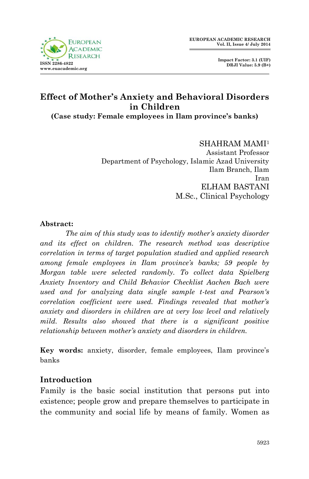

 **Impact Factor: 3.1 (UIF) DRJI Value: 5.9 (B+)**

# **Effect of Mother's Anxiety and Behavioral Disorders in Children**

**(Case study: Female employees in Ilam province's banks)**

#### SHAHRAM MAMI<sup>1</sup>

Assistant Professor Department of Psychology, Islamic Azad University Ilam Branch, Ilam Iran ELHAM BASTANI M.Sc., Clinical Psychology

#### **Abstract:**

*The aim of this study was to identify mother's anxiety disorder and its effect on children. The research method was descriptive correlation in terms of target population studied and applied research among female employees in Ilam province's banks; 59 people by Morgan table were selected randomly. To collect data Spielberg Anxiety Inventory and Child Behavior Checklist Aachen Bach were used and for analyzing data single sample t-test and Pearson's correlation coefficient were used. Findings revealed that mother's anxiety and disorders in children are at very low level and relatively mild. Results also showed that there is a significant positive relationship between mother's anxiety and disorders in children.*

**Key words:** anxiety, disorder, female employees, Ilam province's banks

#### **Introduction**

Family is the basic social institution that persons put into existence; people grow and prepare themselves to participate in the community and social life by means of family. Women as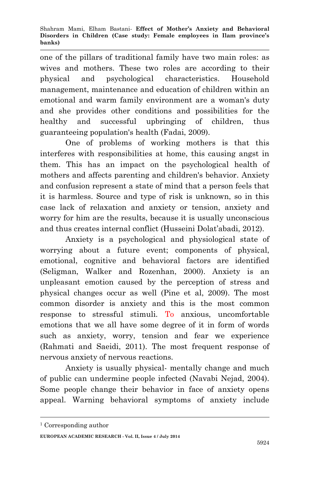one of the pillars of traditional family have two main roles: as wives and mothers. These two roles are according to their physical and psychological characteristics. Household management, maintenance and education of children within an emotional and warm family environment are a woman's duty and she provides other conditions and possibilities for the healthy and successful upbringing of children, thus guaranteeing population's health (Fadai, 2009).

One of problems of working mothers is that this interferes with responsibilities at home, this causing angst in them. This has an impact on the psychological health of mothers and affects parenting and children's behavior. Anxiety and confusion represent a state of mind that a person feels that it is harmless. Source and type of risk is unknown, so in this case lack of relaxation and anxiety or tension, anxiety and worry for him are the results, because it is usually unconscious and thus creates internal conflict (Husseini Dolat'abadi, 2012).

Anxiety is a psychological and physiological state of worrying about a future event; components of physical, emotional, cognitive and behavioral factors are identified (Seligman, Walker and Rozenhan, 2000). Anxiety is an unpleasant emotion caused by the perception of stress and physical changes occur as well (Pine et al, 2009). The most common disorder is anxiety and this is the most common response to stressful stimuli. To anxious, uncomfortable emotions that we all have some degree of it in form of words such as anxiety, worry, tension and fear we experience (Rahmati and Saeidi, 2011). The most frequent response of nervous anxiety of nervous reactions.

Anxiety is usually physical- mentally change and much of public can undermine people infected (Navabi Nejad, 2004). Some people change their behavior in face of anxiety opens appeal. Warning behavioral symptoms of anxiety include

**.** 

**EUROPEAN ACADEMIC RESEARCH - Vol. II, Issue 4 / July 2014**

<sup>1</sup> Corresponding author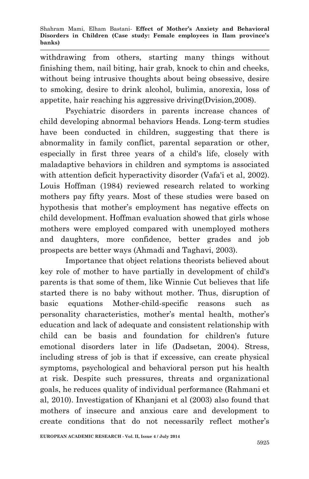withdrawing from others, starting many things without finishing them, nail biting, hair grab, knock to chin and cheeks, without being intrusive thoughts about being obsessive, desire to smoking, desire to drink alcohol, bulimia, anorexia, loss of appetite, hair reaching his aggressive driving(Dvision,2008).

Psychiatric disorders in parents increase chances of child developing abnormal behaviors Heads. Long-term studies have been conducted in children, suggesting that there is abnormality in family conflict, parental separation or other, especially in first three years of a child's life, closely with maladaptive behaviors in children and symptoms is associated with attention deficit hyperactivity disorder (Vafa'i et al, 2002). Louis Hoffman (1984) reviewed research related to working mothers pay fifty years. Most of these studies were based on hypothesis that mother's employment has negative effects on child development. Hoffman evaluation showed that girls whose mothers were employed compared with unemployed mothers and daughters, more confidence, better grades and job prospects are better ways (Ahmadi and Taghavi, 2003).

Importance that object relations theorists believed about key role of mother to have partially in development of child's parents is that some of them, like Winnie Cut believes that life started there is no baby without mother. Thus, disruption of basic equations Mother-child-specific reasons such as personality characteristics, mother's mental health, mother's education and lack of adequate and consistent relationship with child can be basis and foundation for children's future emotional disorders later in life (Dadsetan, 2004). Stress, including stress of job is that if excessive, can create physical symptoms, psychological and behavioral person put his health at risk. Despite such pressures, threats and organizational goals, he reduces quality of individual performance (Rahmani et al, 2010). Investigation of Khanjani et al (2003) also found that mothers of insecure and anxious care and development to create conditions that do not necessarily reflect mother's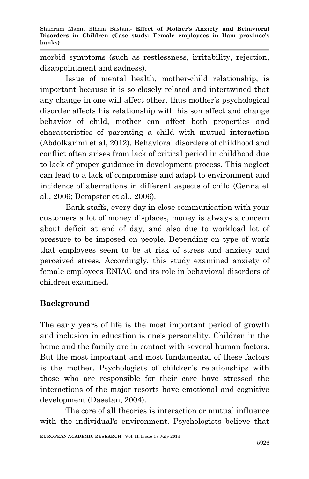morbid symptoms (such as restlessness, irritability, rejection, disappointment and sadness).

Issue of mental health, mother-child relationship, is important because it is so closely related and intertwined that any change in one will affect other, thus mother's psychological disorder affects his relationship with his son affect and change behavior of child, mother can affect both properties and characteristics of parenting a child with mutual interaction (Abdolkarimi et al, 2012). Behavioral disorders of childhood and conflict often arises from lack of critical period in childhood due to lack of proper guidance in development process. This neglect can lead to a lack of compromise and adapt to environment and incidence of aberrations in different aspects of child (Genna et al., 2006; Dempster et al., 2006).

Bank staffs, every day in close communication with your customers a lot of money displaces, money is always a concern about deficit at end of day, and also due to workload lot of pressure to be imposed on people**.** Depending on type of work that employees seem to be at risk of stress and anxiety and perceived stress. Accordingly, this study examined anxiety of female employees ENIAC and its role in behavioral disorders of children examined**.**

# **Background**

The early years of life is the most important period of growth and inclusion in education is one's personality. Children in the home and the family are in contact with several human factors. But the most important and most fundamental of these factors is the mother. Psychologists of children's relationships with those who are responsible for their care have stressed the interactions of the major resorts have emotional and cognitive development (Dasetan, 2004).

The core of all theories is interaction or mutual influence with the individual's environment. Psychologists believe that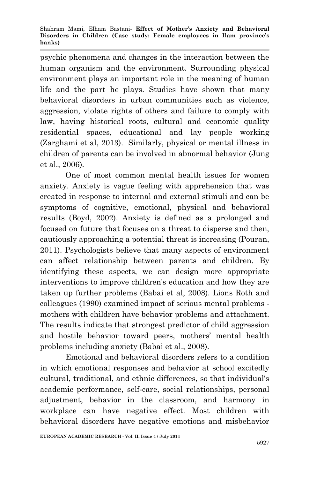psychic phenomena and changes in the interaction between the human organism and the environment. Surrounding physical environment plays an important role in the meaning of human life and the part he plays. Studies have shown that many behavioral disorders in urban communities such as violence, aggression, violate rights of others and failure to comply with law, having historical roots, cultural and economic quality residential spaces, educational and lay people working (Zarghami et al, 2013). Similarly, physical or mental illness in children of parents can be involved in abnormal behavior (Jung et al., 2006).

One of most common mental health issues for women anxiety. Anxiety is vague feeling with apprehension that was created in response to internal and external stimuli and can be symptoms of cognitive, emotional, physical and behavioral results (Boyd, 2002). Anxiety is defined as a prolonged and focused on future that focuses on a threat to disperse and then, cautiously approaching a potential threat is increasing (Pouran, 2011). Psychologists believe that many aspects of environment can affect relationship between parents and children. By identifying these aspects, we can design more appropriate interventions to improve children's education and how they are taken up further problems (Babai et al, 2008). Lions Roth and colleagues (1990) examined impact of serious mental problems mothers with children have behavior problems and attachment. The results indicate that strongest predictor of child aggression and hostile behavior toward peers, mothers' mental health problems including anxiety (Babai et al., 2008).

Emotional and behavioral disorders refers to a condition in which emotional responses and behavior at school excitedly cultural, traditional, and ethnic differences, so that individual's academic performance, self-care, social relationships, personal adjustment, behavior in the classroom, and harmony in workplace can have negative effect. Most children with behavioral disorders have negative emotions and misbehavior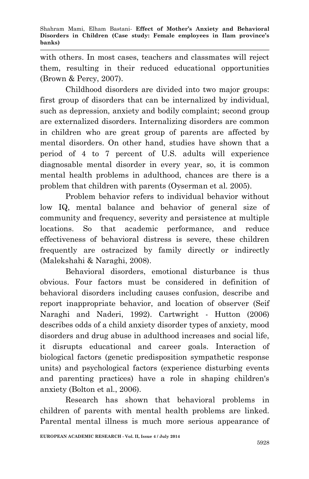with others. In most cases, teachers and classmates will reject them, resulting in their reduced educational opportunities (Brown & Percy, 2007).

Childhood disorders are divided into two major groups: first group of disorders that can be internalized by individual, such as depression, anxiety and bodily complaint; second group are externalized disorders. Internalizing disorders are common in children who are great group of parents are affected by mental disorders. On other hand, studies have shown that a period of 4 to 7 percent of U.S. adults will experience diagnosable mental disorder in every year, so, it is common mental health problems in adulthood, chances are there is a problem that children with parents (Oyserman et al. 2005).

Problem behavior refers to individual behavior without low IQ, mental balance and behavior of general size of community and frequency, severity and persistence at multiple locations. So that academic performance, and reduce effectiveness of behavioral distress is severe, these children frequently are ostracized by family directly or indirectly (Malekshahi & Naraghi, 2008).

Behavioral disorders, emotional disturbance is thus obvious. Four factors must be considered in definition of behavioral disorders including causes confusion, describe and report inappropriate behavior, and location of observer (Seif Naraghi and Naderi, 1992). Cartwright - Hutton (2006) describes odds of a child anxiety disorder types of anxiety, mood disorders and drug abuse in adulthood increases and social life, it disrupts educational and career goals. Interaction of biological factors (genetic predisposition sympathetic response units) and psychological factors (experience disturbing events and parenting practices) have a role in shaping children's anxiety (Bolton et al., 2006).

Research has shown that behavioral problems in children of parents with mental health problems are linked. Parental mental illness is much more serious appearance of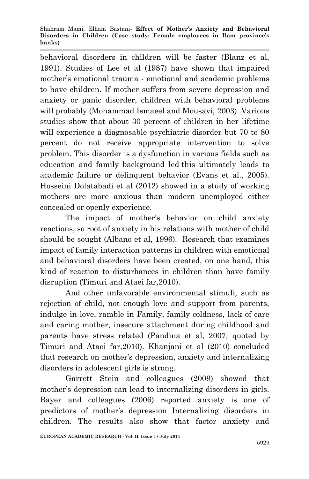behavioral disorders in children will be faster (Blanz et al, 1991). Studies of Lee et al (1987) have shown that impaired mother's emotional trauma - emotional and academic problems to have children. If mother suffers from severe depression and anxiety or panic disorder, children with behavioral problems will probably (Mohammad Ismaeel and Mousavi, 2003). Various studies show that about 30 percent of children in her lifetime will experience a diagnosable psychiatric disorder but 70 to 80 percent do not receive appropriate intervention to solve problem. This disorder is a dysfunction in various fields such as education and family background led this ultimately leads to academic failure or delinquent behavior (Evans et al., 2005). Hosseini Dolatabadi et al (2012) showed in a study of working mothers are more anxious than modern unemployed either concealed or openly experience.

The impact of mother's behavior on child anxiety reactions, so root of anxiety in his relations with mother of child should be sought (Albano et al, 1996). Research that examines impact of family interaction patterns in children with emotional and behavioral disorders have been created, on one hand, this kind of reaction to disturbances in children than have family disruption (Timuri and Ataei far,2010).

And other unfavorable environmental stimuli, such as rejection of child, not enough love and support from parents, indulge in love, ramble in Family, family coldness, lack of care and caring mother, insecure attachment during childhood and parents have stress related (Pandina et al, 2007, quoted by Timuri and Ataei far,2010). Khanjani et al (2010) concluded that research on mother's depression, anxiety and internalizing disorders in adolescent girls is strong.

Garrett Stein and colleagues (2009) showed that mother's depression can lead to internalizing disorders in girls. Bayer and colleagues (2006) reported anxiety is one of predictors of mother's depression Internalizing disorders in children. The results also show that factor anxiety and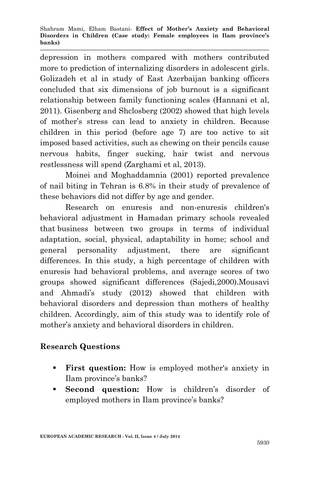depression in mothers compared with mothers contributed more to prediction of internalizing disorders in adolescent girls. Golizadeh et al in study of East Azerbaijan banking officers concluded that six dimensions of job burnout is a significant relationship between family functioning scales (Hannani et al, 2011). Gisenberg and Shclosberg (2002) showed that high levels of mother's stress can lead to anxiety in children. Because children in this period (before age 7) are too active to sit imposed based activities, such as chewing on their pencils cause nervous habits, finger sucking, hair twist and nervous restlessness will spend (Zarghami et al, 2013).

Moinei and Moghaddamnia (2001) reported prevalence of nail biting in Tehran is 6.8% in their study of prevalence of these behaviors did not differ by age and gender.

Research on enuresis and non-enuresis children's behavioral adjustment in Hamadan primary schools revealed that business between two groups in terms of individual adaptation, social, physical, adaptability in home; school and general personality adjustment, there are significant differences. In this study, a high percentage of children with enuresis had behavioral problems, and average scores of two groups showed significant differences (Sajedi,2000).Mousavi and Ahmadi's study (2012) showed that children with behavioral disorders and depression than mothers of healthy children. Accordingly, aim of this study was to identify role of mother's anxiety and behavioral disorders in children.

## **Research Questions**

- **First question:** How is employed mother's anxiety in Ilam province's banks?
- **Second question:** How is children's disorder of employed mothers in Ilam province's banks?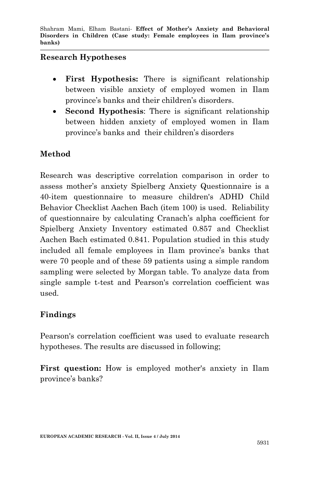#### **Research Hypotheses**

- **First Hypothesis:** There is significant relationship between visible anxiety of employed women in Ilam province's banks and their children's disorders.
- **Second Hypothesis**: There is significant relationship between hidden anxiety of employed women in Ilam province's banks and their children's disorders

## **Method**

Research was descriptive correlation comparison in order to assess mother's anxiety Spielberg Anxiety Questionnaire is a 40-item questionnaire to measure children's ADHD Child Behavior Checklist Aachen Bach (item 100) is used. Reliability of questionnaire by calculating Cranach's alpha coefficient for Spielberg Anxiety Inventory estimated 0.857 and Checklist Aachen Bach estimated 0.841. Population studied in this study included all female employees in Ilam province's banks that were 70 people and of these 59 patients using a simple random sampling were selected by Morgan table. To analyze data from single sample t-test and Pearson's correlation coefficient was used.

## **Findings**

Pearson's correlation coefficient was used to evaluate research hypotheses. The results are discussed in following;

**First question:** How is employed mother's anxiety in Ilam province's banks?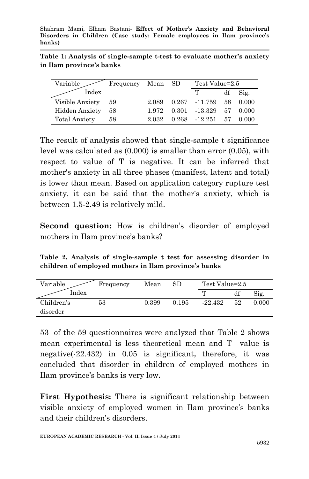|                          | Table 1: Analysis of single-sample t-test to evaluate mother's anxiety |
|--------------------------|------------------------------------------------------------------------|
| in Ilam province's banks |                                                                        |

| Variable             | Frequency Mean |       | - SD  | Test Value=2.5  |    |       |
|----------------------|----------------|-------|-------|-----------------|----|-------|
| Index                |                |       |       | T               | df | Sig.  |
| Visible Anxiety      | - 59           | 2.089 |       | $0.267 -11.759$ | 58 | 0.000 |
| Hidden Anxiety       | 58             | 1.972 | 0.301 | -13.329         | 57 | 0.000 |
| <b>Total Anxiety</b> | 58             | 2.032 | 0.268 | $-12.251$       | 57 | 0.000 |

The result of analysis showed that single-sample t significance level was calculated as (0.000) is smaller than error (0.05), with respect to value of T is negative. It can be inferred that mother's anxiety in all three phases (manifest, latent and total) is lower than mean. Based on application category rupture test anxiety, it can be said that the mother's anxiety, which is between 1.5-2.49 is relatively mild.

**Second question:** How is children's disorder of employed mothers in Ilam province's banks?

**Table 2. Analysis of single-sample t test for assessing disorder in children of employed mothers in Ilam province's banks**

| Variable   | Frequency | Mean  | $_{\rm SD}$ | Test Value=2.5 |    |       |
|------------|-----------|-------|-------------|----------------|----|-------|
| Index      |           |       |             |                | df | Sig.  |
| Children's | 53        | 0.399 | 0.195       | $-22.432$      | 52 | 0.000 |
| disorder   |           |       |             |                |    |       |

53 of the 59 questionnaires were analyzed that Table 2 shows mean experimental is less theoretical mean and T value is negative(-22.432) in 0.05 is significant**,** therefore, it was concluded that disorder in children of employed mothers in Ilam province's banks is very low**.**

**First Hypothesis:** There is significant relationship between visible anxiety of employed women in Ilam province's banks and their children's disorders.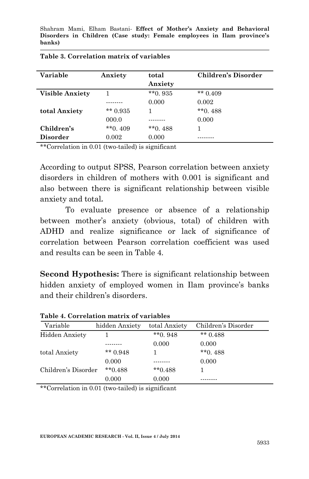| Variable               | Anxiety    | total<br>Anxiety | <b>Children's Disorder</b> |
|------------------------|------------|------------------|----------------------------|
| <b>Visible Anxiety</b> |            | $*$ $*$ 0. 935   | ** $0.409$                 |
|                        |            | 0.000            | 0.002                      |
| total Anxiety          | $*$ 0.935  |                  | $*$ *0.488                 |
|                        | 000.0      |                  | 0.000                      |
| Children's             | $*$ *0.409 | $*$ *0.488       |                            |
| <b>Disorder</b>        | 0.002      | 0.000            |                            |

| Table 3. Correlation matrix of variables |  |  |  |  |
|------------------------------------------|--|--|--|--|
|------------------------------------------|--|--|--|--|

\*\*Correlation in 0.01 (two-tailed) is significant

According to output SPSS, Pearson correlation between anxiety disorders in children of mothers with 0.001 is significant and also between there is significant relationship between visible anxiety and total**.**

To evaluate presence or absence of a relationship between mother's anxiety (obvious, total) of children with ADHD and realize significance or lack of significance of correlation between Pearson correlation coefficient was used and results can be seen in Table 4.

**Second Hypothesis:** There is significant relationship between hidden anxiety of employed women in Ilam province's banks and their children's disorders.

| Variable            | hidden Anxiety | total Anxiety | Children's Disorder |
|---------------------|----------------|---------------|---------------------|
| Hidden Anxiety      |                | $*$ 0.948     | ** $0.488$          |
|                     |                | 0.000         | 0.000               |
| total Anxiety       | ** $0.948$     |               | $*$ $*$ 0. 488      |
|                     | 0.000          |               | 0.000               |
| Children's Disorder | $*$ *0.488     | $*$ *0.488    |                     |
|                     | 0.000          | 0.000         |                     |

**Table 4. Correlation matrix of variables**

\*\*Correlation in 0.01 (two-tailed) is significant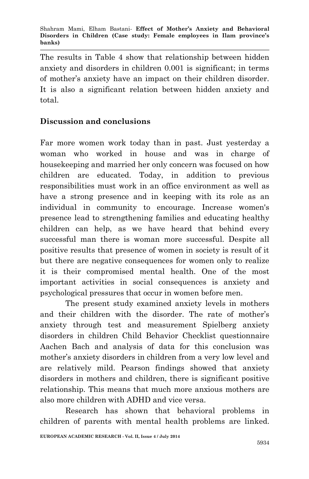The results in Table 4 show that relationship between hidden anxiety and disorders in children 0.001 is significant; in terms of mother's anxiety have an impact on their children disorder. It is also a significant relation between hidden anxiety and total.

## **Discussion and conclusions**

Far more women work today than in past. Just yesterday a woman who worked in house and was in charge of housekeeping and married her only concern was focused on how children are educated. Today, in addition to previous responsibilities must work in an office environment as well as have a strong presence and in keeping with its role as an individual in community to encourage. Increase women's presence lead to strengthening families and educating healthy children can help, as we have heard that behind every successful man there is woman more successful. Despite all positive results that presence of women in society is result of it but there are negative consequences for women only to realize it is their compromised mental health. One of the most important activities in social consequences is anxiety and psychological pressures that occur in women before men.

The present study examined anxiety levels in mothers and their children with the disorder. The rate of mother's anxiety through test and measurement Spielberg anxiety disorders in children Child Behavior Checklist questionnaire Aachen Bach and analysis of data for this conclusion was mother's anxiety disorders in children from a very low level and are relatively mild. Pearson findings showed that anxiety disorders in mothers and children, there is significant positive relationship. This means that much more anxious mothers are also more children with ADHD and vice versa.

Research has shown that behavioral problems in children of parents with mental health problems are linked.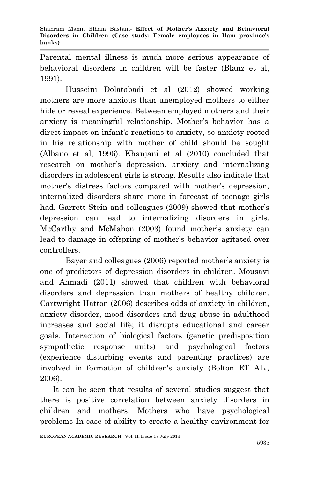Parental mental illness is much more serious appearance of behavioral disorders in children will be faster (Blanz et al, 1991).

Husseini Dolatabadi et al (2012) showed working mothers are more anxious than unemployed mothers to either hide or reveal experience. Between employed mothers and their anxiety is meaningful relationship. Mother's behavior has a direct impact on infant's reactions to anxiety, so anxiety rooted in his relationship with mother of child should be sought (Albano et al, 1996). Khanjani et al (2010) concluded that research on mother's depression, anxiety and internalizing disorders in adolescent girls is strong. Results also indicate that mother's distress factors compared with mother's depression, internalized disorders share more in forecast of teenage girls had. Garrett Stein and colleagues (2009) showed that mother's depression can lead to internalizing disorders in girls. McCarthy and McMahon (2003) found mother's anxiety can lead to damage in offspring of mother's behavior agitated over controllers.

Bayer and colleagues (2006) reported mother's anxiety is one of predictors of depression disorders in children. Mousavi and Ahmadi (2011) showed that children with behavioral disorders and depression than mothers of healthy children. Cartwright Hatton (2006) describes odds of anxiety in children, anxiety disorder, mood disorders and drug abuse in adulthood increases and social life; it disrupts educational and career goals. Interaction of biological factors (genetic predisposition sympathetic response units) and psychological factors (experience disturbing events and parenting practices) are involved in formation of children's anxiety (Bolton ET AL., 2006).

It can be seen that results of several studies suggest that there is positive correlation between anxiety disorders in children and mothers. Mothers who have psychological problems In case of ability to create a healthy environment for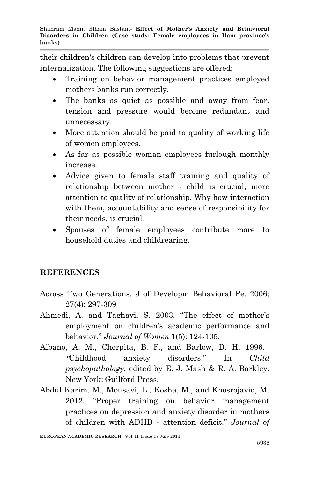their children's children can develop into problems that prevent internalization. The following suggestions are offered;

- Training on behavior management practices employed mothers banks run correctly.
- The banks as quiet as possible and away from fear, tension and pressure would become redundant and unnecessary.
- More attention should be paid to quality of working life of women employees.
- As far as possible woman employees furlough monthly increase.
- Advice given to female staff training and quality of relationship between mother - child is crucial, more attention to quality of relationship. Why how interaction with them, accountability and sense of responsibility for their needs, is crucial.
- Spouses of female employees contribute more to household duties and childrearing.

## **REFERENCES**

- Across Two Generations. J of Developm Behavioral Pe. 2006; 27(4): 297-309
- Ahmedi, A. and Taghavi, S. 2003. "The effect of mother's employment on children's academic performance and behavior." *Journal of Women* 1(5): 124-105.
- Albano, A. M., Chorpita, B. F., and Barlow, D. H. 1996. **"**Childhood anxiety disorders." In *Child psychopathology*, edited by E. J. Mash & R. A. Barkley. New York: Guilford Press.
- Abdul Karim, M., Mousavi, L., Kosha, M., and Khosrojavid, M. 2012. "Proper training on behavior management practices on depression and anxiety disorder in mothers of children with ADHD - attention deficit." *Journal of*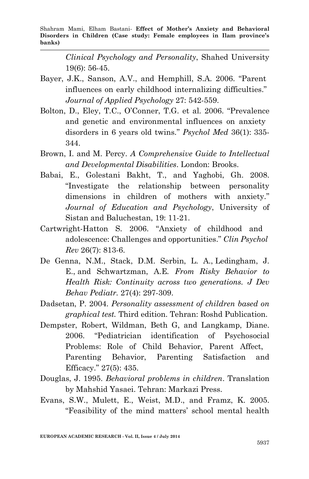Shahram Mami, Elham Bastani*-* **Effect of Mother's Anxiety and Behavioral Disorders in Children (Case study: Female employees in Ilam province's banks)**

> *Clinical Psychology and Personality*, Shahed University 19(6): 56-45.

- Bayer, J.K., Sanson, A.V., and Hemphill, S.A. 2006. "Parent influences on early childhood internalizing difficulties." *Journal of Applied Psychology* 27: 542-559.
- Bolton, D., Eley, T.C., O'Conner, T.G. et al. 2006. "Prevalence and genetic and environmental influences on anxiety disorders in 6 years old twins." *Psychol Med* 36(1): 335- 344.
- Brown, I. and M. Percy. *A Comprehensive Guide to Intellectual and Developmental Disabilities*. London: Brooks.
- Babai, E., Golestani Bakht, T., and Yaghobi, Gh. 2008. "Investigate the relationship between personality dimensions in children of mothers with anxiety." *Journal of Education and Psychology*, University of Sistan and Baluchestan, 19: 11-21.
- Cartwright-Hatton S. 2006. "Anxiety of childhood and adolescence: Challenges and opportunities." *Clin Psychol Rev* 26(7): 813-6.
- De Genna, N.M., Stack, D.M. Serbin, L. A., Ledingham, J. E., and Schwartzman, A.E*. From Risky Behavior to Health Risk: Continuity across two generations. J Dev Behav Pediatr.* 27(4): 297-309.
- Dadsetan, P. 2004. *Personality assessment of children based on graphical test.* Third edition. Tehran: Roshd Publication.
- Dempster, Robert, Wildman, Beth G, and Langkamp, Diane. 2006. "Pediatrician identification of Psychosocial Problems: Role of Child Behavior, Parent Affect, Parenting Behavior, Parenting Satisfaction and Efficacy." 27(5): 435.
- Douglas, J. 1995. *Behavioral problems in children*. Translation by Mahshid Yasaei. Tehran: Markazi Press.
- Evans, S.W., Mulett, E., Weist, M.D., and Framz, K. 2005. "Feasibility of the mind matters' school mental health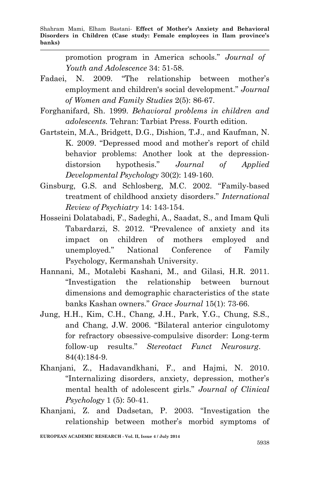promotion program in America schools." *Journal of Youth and Adolescence* 34: 51-58.

- Fadaei, N. 2009. "The relationship between mother's employment and children's social development." *Journal of Women and Family Studies* 2(5): 86-67.
- Forghanifard, Sh. 1999. *Behavioral problems in children and adolescents.* Tehran: Tarbiat Press. Fourth edition.
- Gartstein, M.A., Bridgett, D.G., Dishion, T.J., and Kaufman, N. K. 2009. "Depressed mood and mother's report of child behavior problems: Another look at the depressiondistorsion hypothesis." *Journal of Applied Developmental Psychology* 30(2): 149-160.
- Ginsburg, G.S. and Schlosberg, M.C. 2002. "Family-based treatment of childhood anxiety disorders." *International Review of Psychiatry* 14: 143-154.
- Hosseini Dolatabadi, F., Sadeghi, A., Saadat, S., and Imam Quli Tabardarzi, S. 2012. "Prevalence of anxiety and its impact on children of mothers employed and unemployed." National Conference of Family Psychology, Kermanshah University.
- Hannani, M., Motalebi Kashani, M., and Gilasi, H.R. 2011. "Investigation the relationship between burnout dimensions and demographic characteristics of the state banks Kashan owners." *Grace Journal* 15(1): 73-66.
- Jung, H.H., Kim, C.H., Chang, J.H., Park, Y.G., Chung, S.S., and Chang, J.W. 2006. "Bilateral anterior cingulotomy for refractory obsessive-compulsive disorder: Long-term follow-up results." *Stereotact Funct Neurosurg*. 84(4):184-9.
- Khanjani, Z., Hadavandkhani, F., and Hajmi, N. 2010. "Internalizing disorders, anxiety, depression, mother's mental health of adolescent girls." *Journal of Clinical Psychology* 1 (5): 50-41.
- Khanjani, Z. and Dadsetan, P. 2003. "Investigation the relationship between mother's morbid symptoms of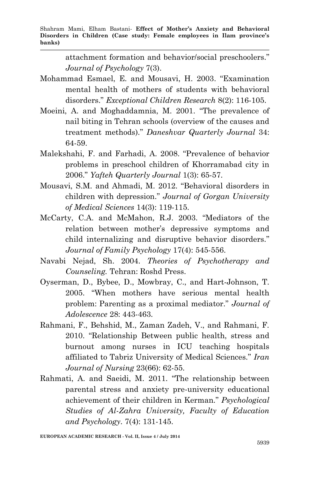attachment formation and behavior/social preschoolers." *Journal of Psychology* 7(3).

- Mohammad Esmael, E. and Mousavi, H. 2003. "Examination mental health of mothers of students with behavioral disorders." *Exceptional Children Research* 8(2): 116-105.
- Moeini, A. and Moghaddamnia, M. 2001. "The prevalence of nail biting in Tehran schools (overview of the causes and treatment methods)." *Daneshvar Quarterly Journal* 34: 64-59.
- Malekshahi, F. and Farhadi, A. 2008. "Prevalence of behavior problems in preschool children of Khorramabad city in 2006." *Yafteh Quarterly Journal* 1(3): 65-57.
- Mousavi, S.M. and Ahmadi, M. 2012. "Behavioral disorders in children with depression." *Journal of Gorgan University of Medical Sciences* 14(3): 119-115.
- McCarty, C.A. and McMahon, R.J. 2003. "Mediators of the relation between mother's depressive symptoms and child internalizing and disruptive behavior disorders." *Journal of Family Psychology* 17(4): 545-556.
- Navabi Nejad, Sh. 2004. *Theories of Psychotherapy and Counseling.* Tehran: Roshd Press.
- Oyserman, D., Bybee, D., Mowbray, C., and Hart-Johnson, T. 2005. "When mothers have serious mental health problem: Parenting as a proximal mediator." *Journal of Adolescence* 28: 443-463.
- Rahmani, F., Behshid, M., Zaman Zadeh, V., and Rahmani, F. 2010. "Relationship Between public health, stress and burnout among nurses in ICU teaching hospitals affiliated to Tabriz University of Medical Sciences." *Iran Journal of Nursing* 23(66): 62-55.
- Rahmati, A. and Saeidi, M. 2011. "The relationship between parental stress and anxiety pre-university educational achievement of their children in Kerman." *Psychological Studies of Al-Zahra University, Faculty of Education and Psychology*. 7(4): 131-145.